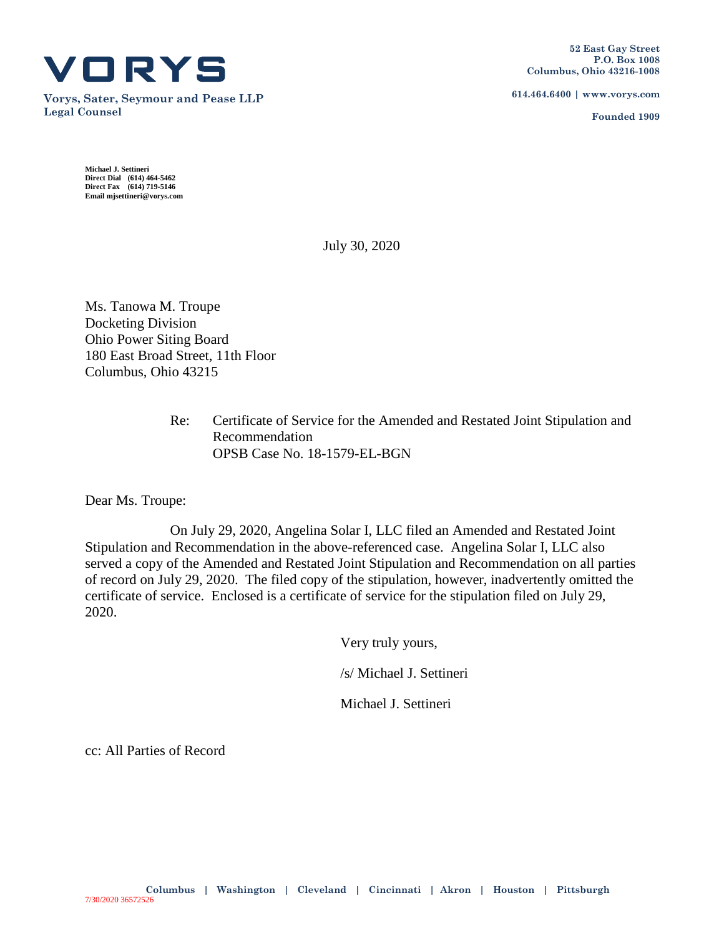

**Vorys, Sater, Seymour and Pease LLP Legal Counsel**

**614.464.6400 | www.vorys.com**

**Founded 1909**

**Michael J. Settineri Direct Dial (614) 464-5462 Direct Fax (614) 719-5146 Email mjsettineri@vorys.com** 

July 30, 2020

Ms. Tanowa M. Troupe Docketing Division Ohio Power Siting Board 180 East Broad Street, 11th Floor Columbus, Ohio 43215

> Re: Certificate of Service for the Amended and Restated Joint Stipulation and Recommendation OPSB Case No. 18-1579-EL-BGN

Dear Ms. Troupe:

On July 29, 2020, Angelina Solar I, LLC filed an Amended and Restated Joint Stipulation and Recommendation in the above-referenced case. Angelina Solar I, LLC also served a copy of the Amended and Restated Joint Stipulation and Recommendation on all parties of record on July 29, 2020. The filed copy of the stipulation, however, inadvertently omitted the certificate of service. Enclosed is a certificate of service for the stipulation filed on July 29, 2020.

Very truly yours,

/s/ Michael J. Settineri

Michael J. Settineri

cc: All Parties of Record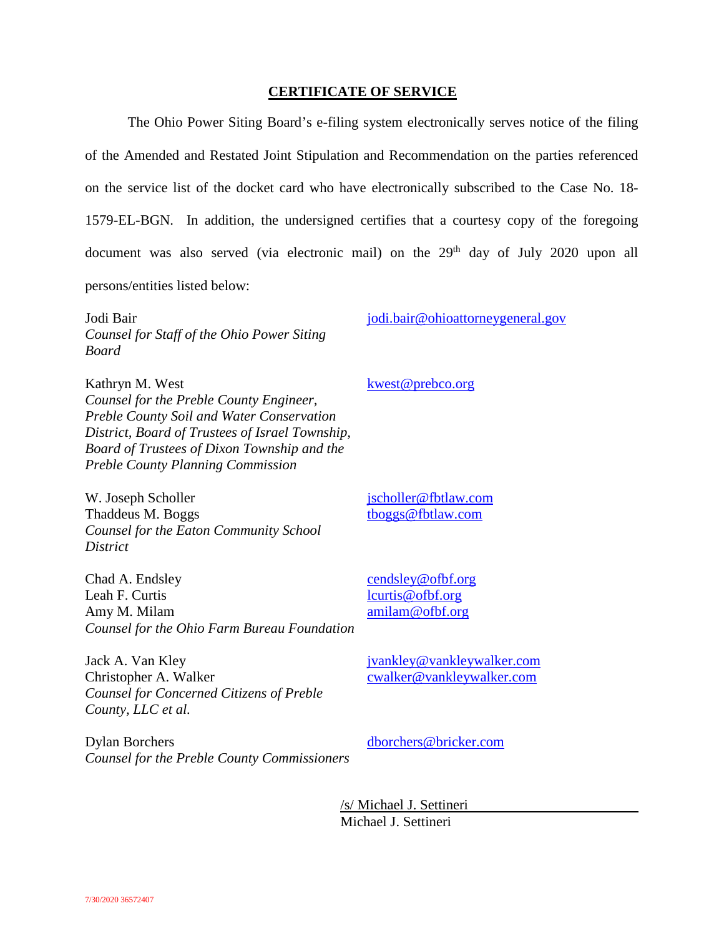## **CERTIFICATE OF SERVICE**

The Ohio Power Siting Board's e-filing system electronically serves notice of the filing of the Amended and Restated Joint Stipulation and Recommendation on the parties referenced on the service list of the docket card who have electronically subscribed to the Case No. 18- 1579-EL-BGN. In addition, the undersigned certifies that a courtesy copy of the foregoing document was also served (via electronic mail) on the 29<sup>th</sup> day of July 2020 upon all persons/entities listed below:

Jodi Bair *Counsel for Staff of the Ohio Power Siting Board* 

Kathryn M. West *Counsel for the Preble County Engineer, Preble County Soil and Water Conservation District, Board of Trustees of Israel Township, Board of Trustees of Dixon Township and the Preble County Planning Commission* 

W. Joseph Scholler Thaddeus M. Boggs *Counsel for the Eaton Community School District* 

Chad A. Endsley Leah F. Curtis Amy M. Milam *Counsel for the Ohio Farm Bureau Foundation*

Jack A. Van Kley Christopher A. Walker *Counsel for Concerned Citizens of Preble County, LLC et al.* 

Dylan Borchers *Counsel for the Preble County Commissioners* jodi.bair@ohioattorneygeneral.gov

kwest@prebco.org

jscholler@fbtlaw.com tboggs@fbtlaw.com

cendsley@ofbf.org lcurtis@ofbf.org amilam@ofbf.org

jvankley@vankleywalker.com cwalker@vankleywalker.com

dborchers@bricker.com

/s/ Michael J. Settineri Michael J. Settineri